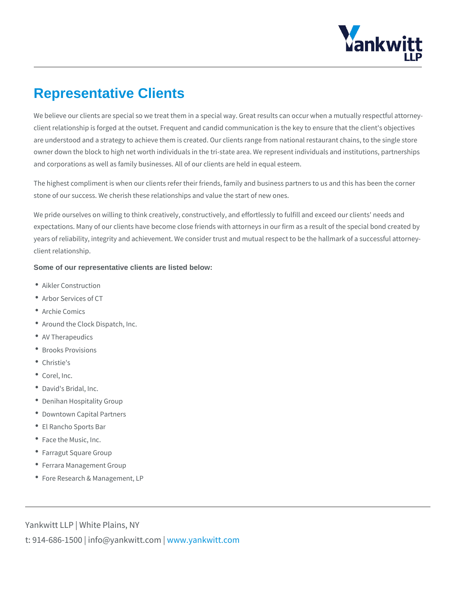## Representative Clients

We believe our clients are special so we treat them in a special way. Great result client relationship is forged at the outset. Frequent and candid communication is are understood and a strategy to achieve them is created. Our clients range from owner down the block to high net worth individuals in the tri-state area. We repr and corporations as well as family businesses. All of our clients are held in equa

The highest compliment is when our clients refer their friends, family and busine stone of our success. We cherish these relationships and value the start of new

We pride ourselves on willing to think creatively, constructively, and effortlessly expectations. Many of our clients have become close friends with attorneys in ou years of reliability, integrity and achievement. We consider trust and mutual res client relationship.

Some of our representative clients are listed below:

- Aikler Construction
- Arbor Services of CT
- Archie Comics
- Around the Clock Dispatch, Inc.
- AV Therapeudics
- Brooks Provisions
- Christie's
- Corel, Inc.
- David's Bridal, Inc.
- Denihan Hospitality Group
- Downtown Capital Partners
- El Rancho Sports Bar
- Face the Music, Inc.
- Farragut Square Group
- Ferrara Management Group
- Fore Research & Management, LP

Yankwitt LLP | White Plains, NY t:  $914 - 686 - 1500$  | info@y wavn ky www.intktwoiotmc.pm